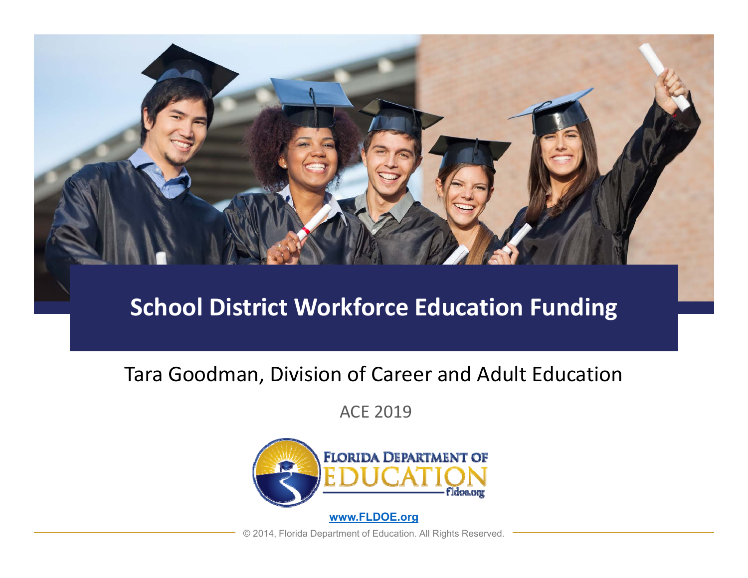

### **School District Workforce Education Funding**

#### Tara Goodman, Division of Career and Adult Education

ACE 2019



© 2014, Florida Department of Education. All Rights Reserved.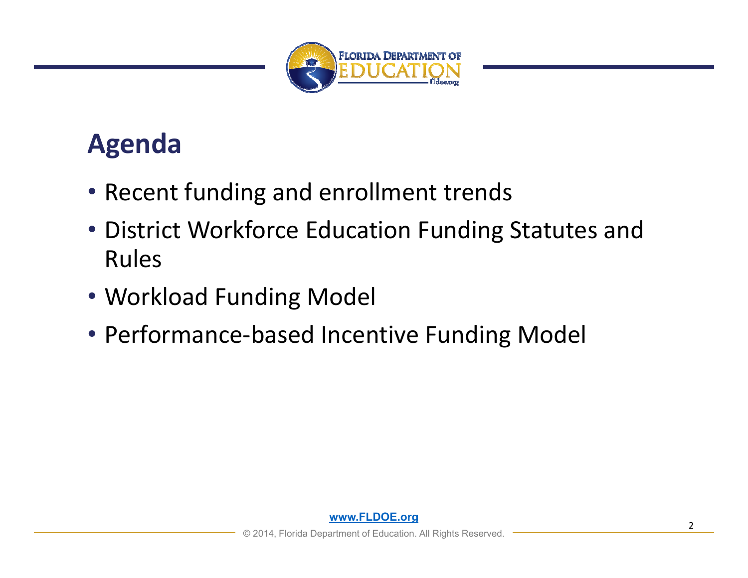

## **Agenda**

- Recent funding and enrollment trends
- District Workforce Education Funding Statutes and Rules
- Workload Funding Model
- Performance‐based Incentive Funding Model

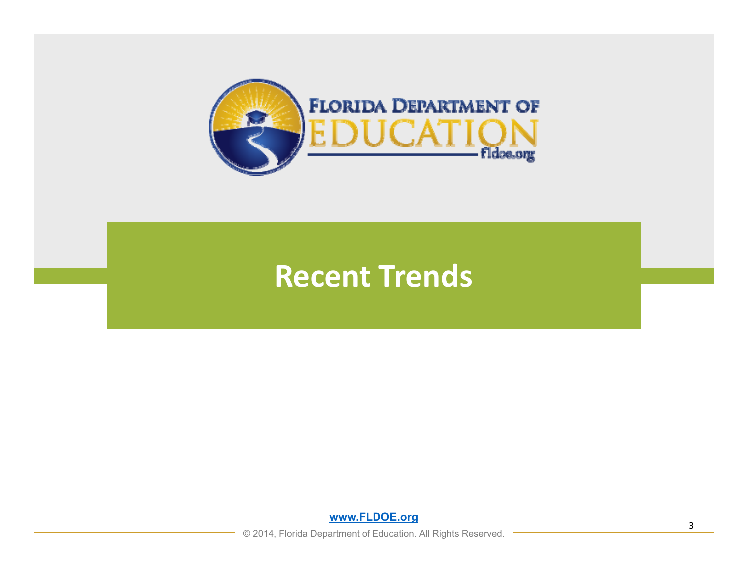

## **Recent Trends**

**www.FLDOE.org**

**◯ 2014, Florida Department of Education. All Rights Reserved.**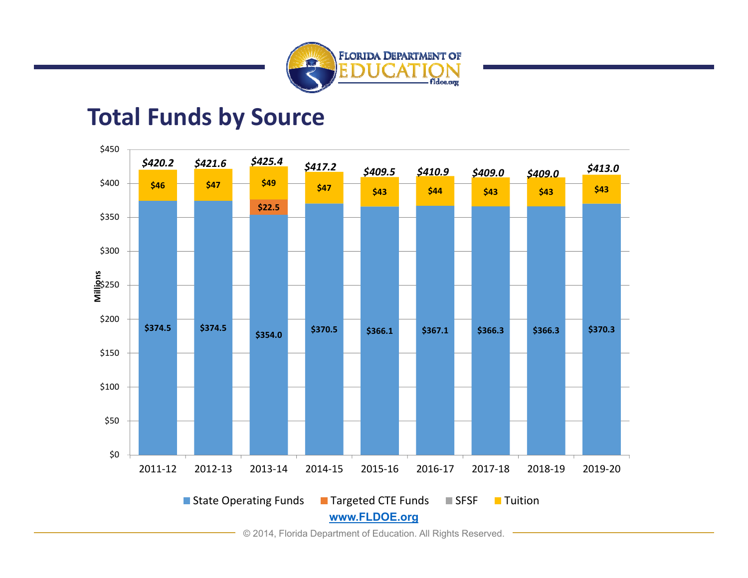

#### **Total Funds by Source**

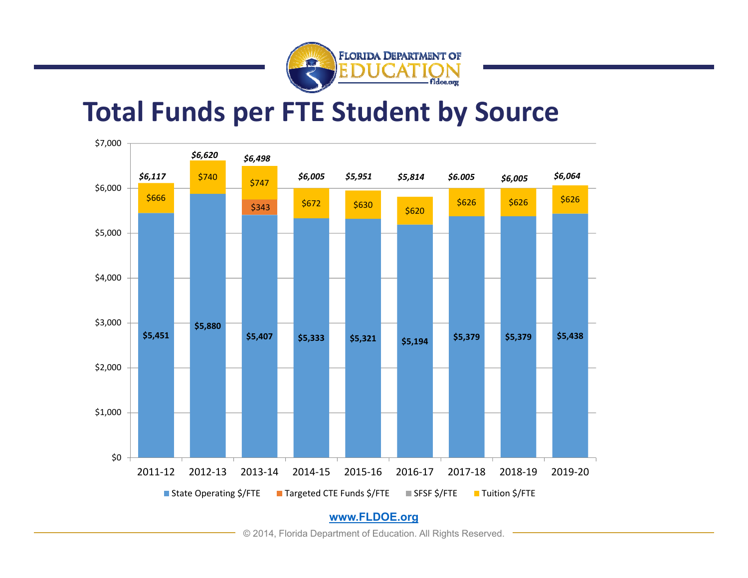

### **Total Funds per FTE Student by Source**



© 2014, Florida Department of Education. All Rights Reserved.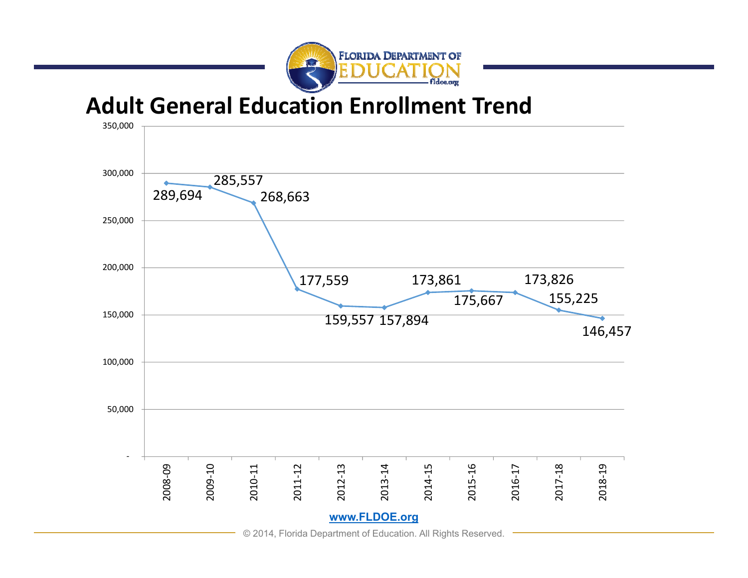

**Adult General Education Enrollment Trend**

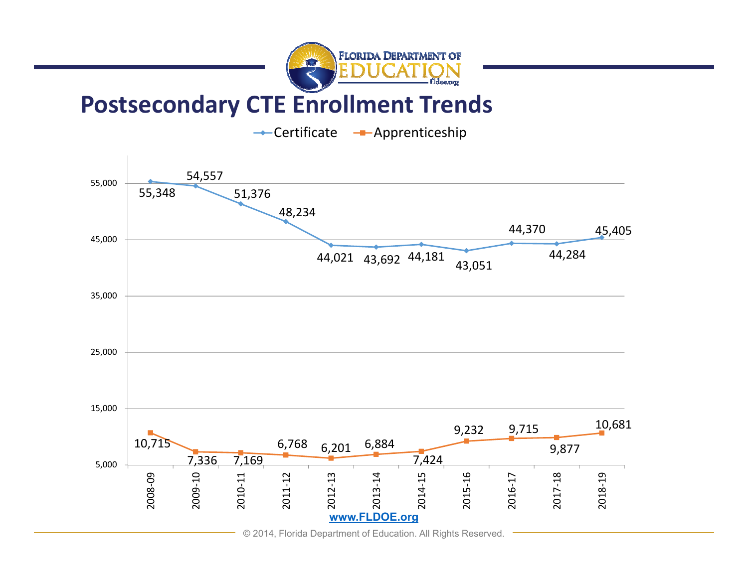

### **Postsecondary CTE Enrollment Trends**

Certificate <del>-</del>Apprenticeship

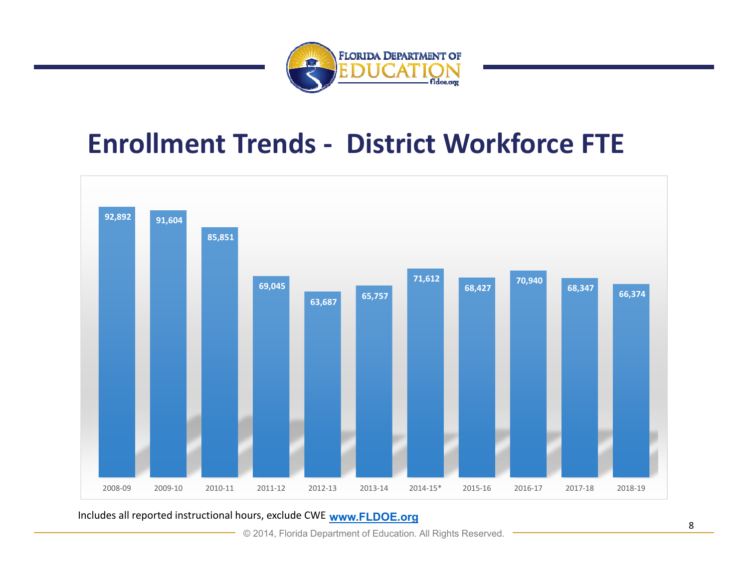

## **Enrollment Trends ‐ District Workforce FTE**



**www.FLDOE.org** Includes all reported instructional hours, exclude CWE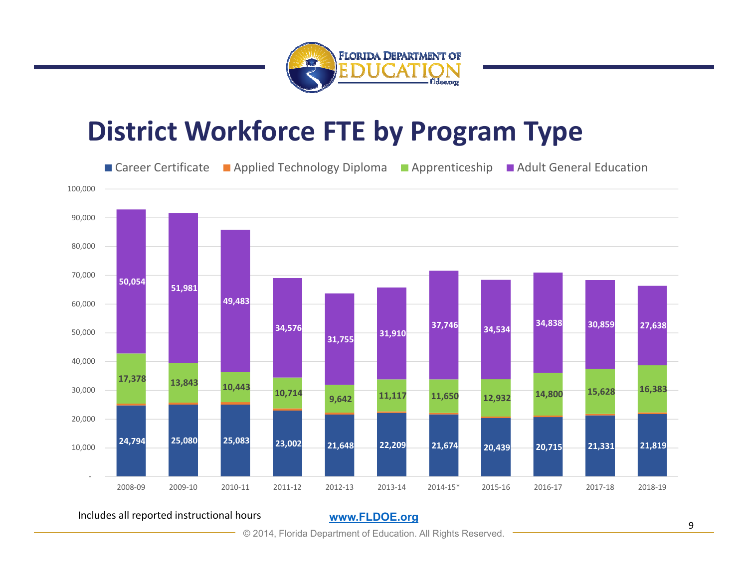

## **District Workforce FTE by Program Type**



Includes all reported instructional hours

**www.FLDOE.org**

© 2014, Florida Department of Education. All Rights Reserved.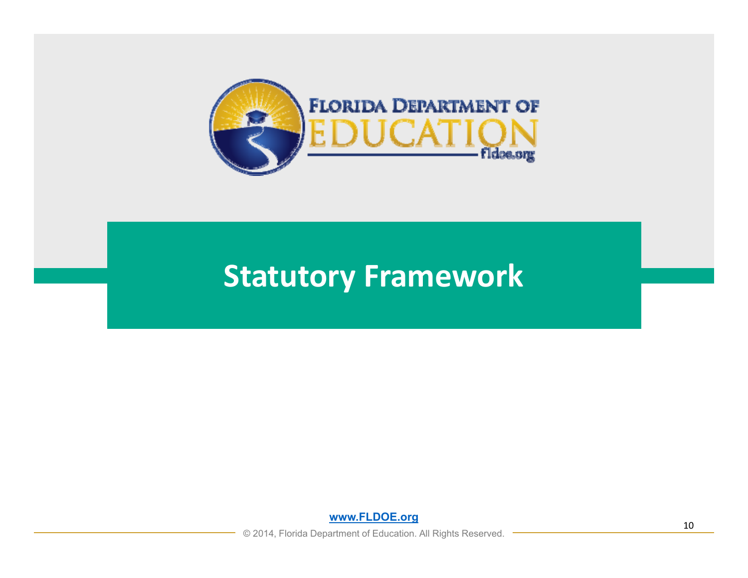

## **Statutory Framework**

**www.FLDOE.org**

© 2014, Florida Department of Education. All Rights Reserved.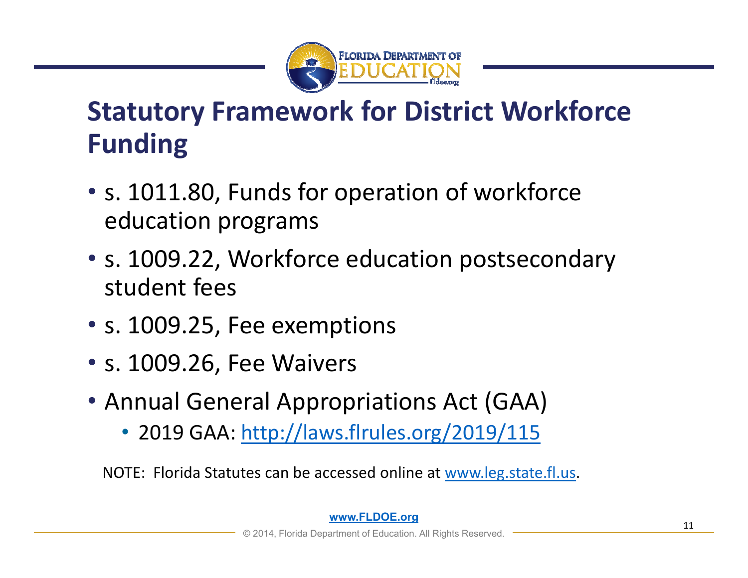

## **Statutory Framework for District Workforce Funding**

- s. 1011.80, Funds for operation of workforce education programs
- s. 1009.22, Workforce education postsecondary student fees
- s. 1009.25, Fee exemptions
- s. 1009.26, Fee Waivers
- Annual General Appropriations Act (GAA)
	- 2019 GAA: http://laws.flrules.org/2019/115

NOTE: Florida Statutes can be accessed online at www.leg.state.fl.us.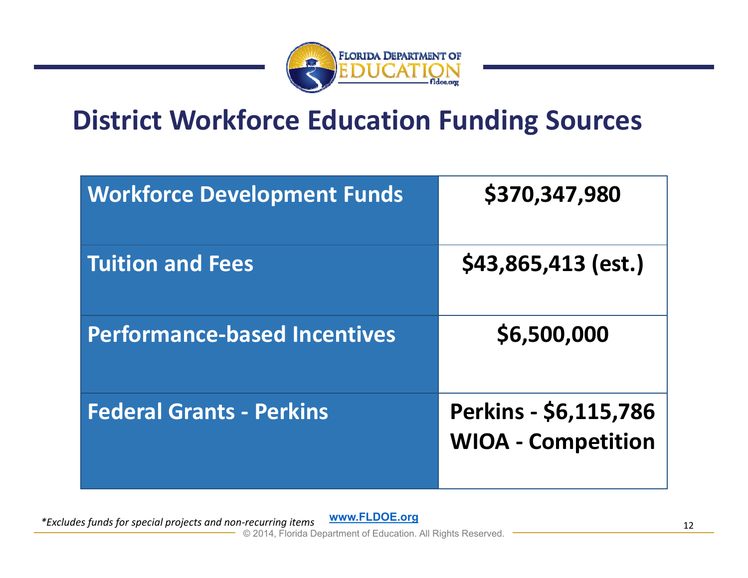

## **District Workforce Education Funding Sources**

| <b>Workforce Development Funds</b>  | \$370,347,980                                      |
|-------------------------------------|----------------------------------------------------|
| <b>Tuition and Fees</b>             | \$43,865,413 (est.)                                |
| <b>Performance-based Incentives</b> | \$6,500,000                                        |
| <b>Federal Grants - Perkins</b>     | Perkins - \$6,115,786<br><b>WIOA - Competition</b> |

*\*Excludes funds for special projects and non‐recurring items*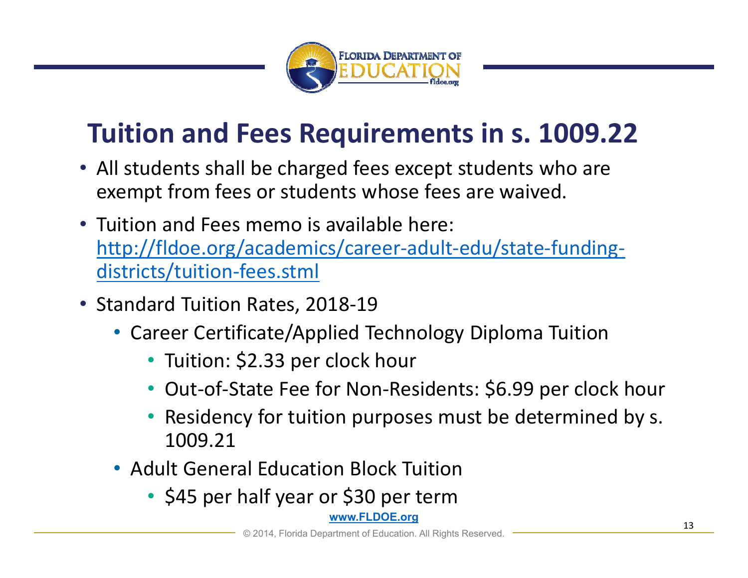

## **Tuition and Fees Requirements in s. 1009.22**

- All students shall be charged fees except students who are exempt from fees or students whose fees are waived.
- Tuition and Fees memo is available here: http://fldoe.org/academics/career‐adult‐edu/state‐funding‐ districts/tuition‐fees.stml
- Standard Tuition Rates, 2018‐19
	- Career Certificate/Applied Technology Diploma Tuition
		- Tuition: \$2.33 per clock hour
		- Out‐of‐State Fee for Non‐Residents: \$6.99 per clock hour
		- Residency for tuition purposes must be determined by s. 1009.21
	- Adult General Education Block Tuition
		- \$45 per half year or \$30 per term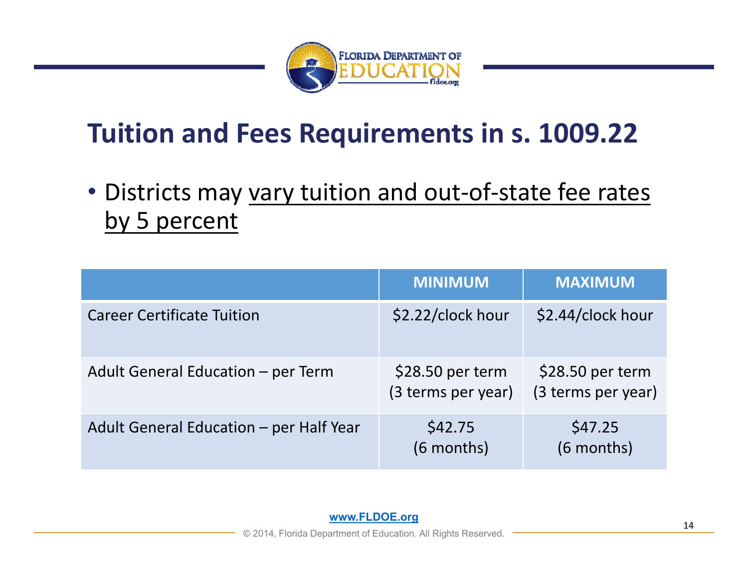

## **Tuition and Fees Requirements in s. 1009.22**

• Districts may vary tuition and out-of-state fee rates by 5 percent

|                                         | <b>MINIMUM</b>                         | <b>MAXIMUM</b>                         |
|-----------------------------------------|----------------------------------------|----------------------------------------|
| <b>Career Certificate Tuition</b>       | \$2.22/clock hour                      | \$2.44/clock hour                      |
| Adult General Education - per Term      | \$28.50 per term<br>(3 terms per year) | \$28.50 per term<br>(3 terms per year) |
| Adult General Education - per Half Year | \$42.75<br>(6 months)                  | \$47.25<br>(6 months)                  |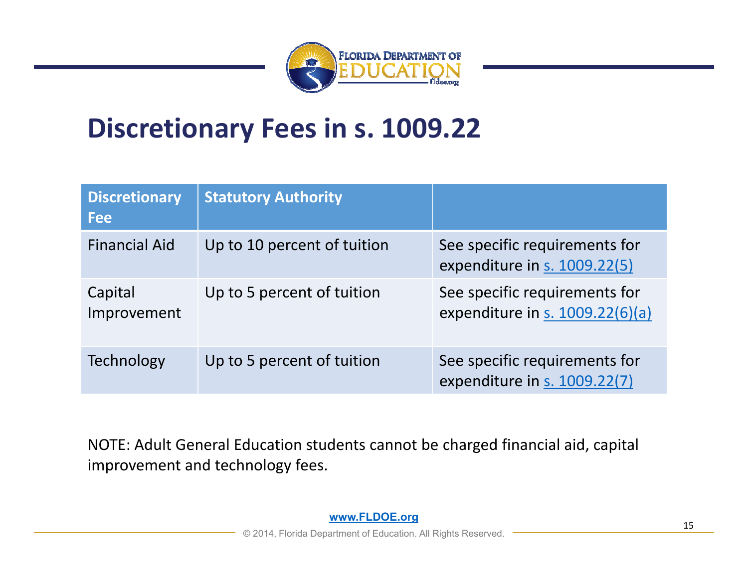

## **Discretionary Fees in s. 1009.22**

| <b>Discretionary</b><br><b>Fee</b> | <b>Statutory Authority</b>  |                                                                  |
|------------------------------------|-----------------------------|------------------------------------------------------------------|
| <b>Financial Aid</b>               | Up to 10 percent of tuition | See specific requirements for<br>expenditure in s. 1009.22(5)    |
| Capital<br>Improvement             | Up to 5 percent of tuition  | See specific requirements for<br>expenditure in s. 1009.22(6)(a) |
| <b>Technology</b>                  | Up to 5 percent of tuition  | See specific requirements for<br>expenditure in s. 1009.22(7)    |

NOTE: Adult General Education students cannot be charged financial aid, capital improvement and technology fees.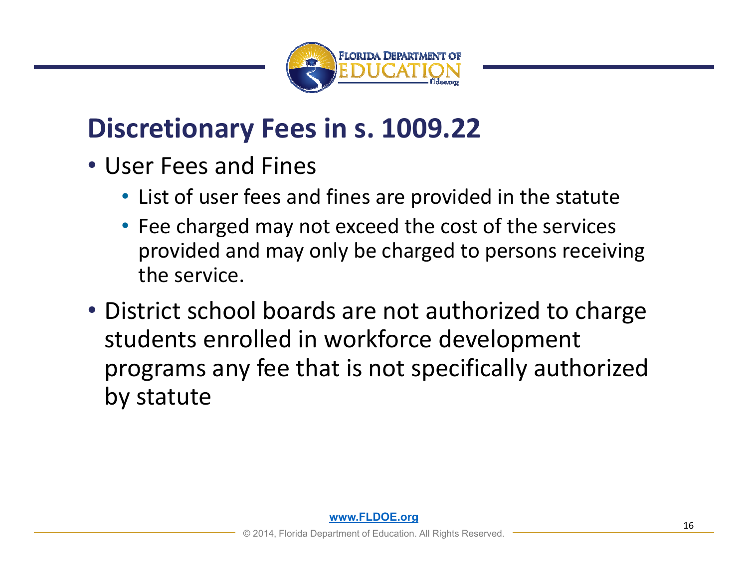

## **Discretionary Fees in s. 1009.22**

- User Fees and Fines
	- List of user fees and fines are provided in the statute
	- Fee charged may not exceed the cost of the services provided and may only be charged to persons receiving the service.
- District school boards are not authorized to charge students enrolled in workforce development programs any fee that is not specifically authorized by statute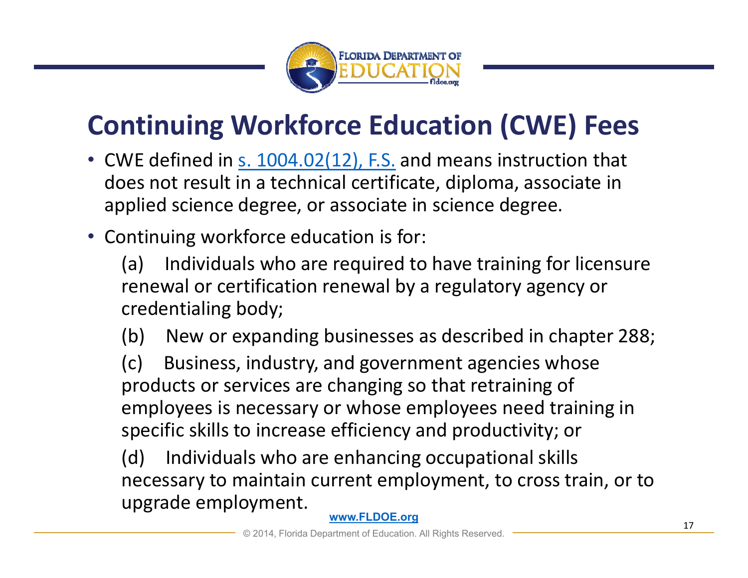

## **Continuing Workforce Education (CWE) Fees**

- CWE defined in s. 1004.02(12), F.S. and means instruction that does not result in a technical certificate, diploma, associate in applied science degree, or associate in science degree.
- Continuing workforce education is for:

(a) Individuals who are required to have training for licensure renewal or certification renewal by a regulatory agency or credentialing body;

(b) New or expanding businesses as described in chapter 288;

(c) Business, industry, and government agencies whose products or services are changing so that retraining of employees is necessary or whose employees need training in specific skills to increase efficiency and productivity; or

(d) Individuals who are enhancing occupational skills necessary to maintain current employment, to cross train, or to upgrade employment.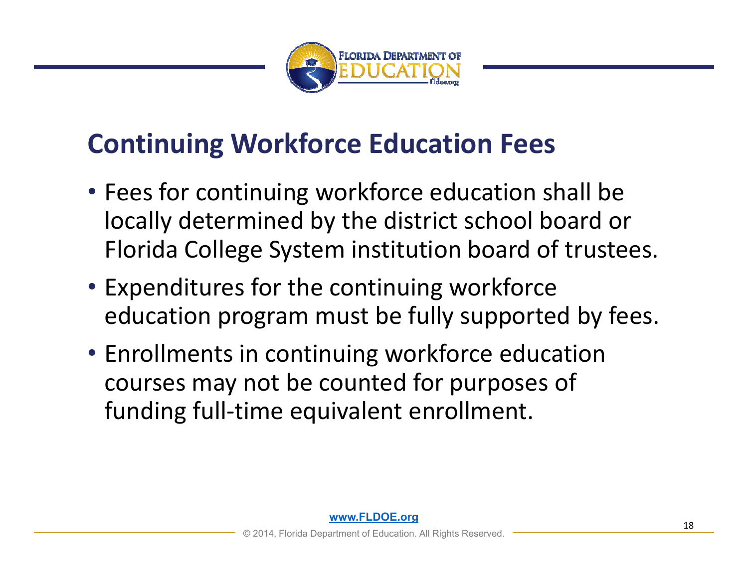

## **Continuing Workforce Education Fees**

- Fees for continuing workforce education shall be locally determined by the district school board or Florida College System institution board of trustees.
- Expenditures for the continuing workforce education program must be fully supported by fees.
- Enrollments in continuing workforce education courses may not be counted for purposes of funding full-time equivalent enrollment.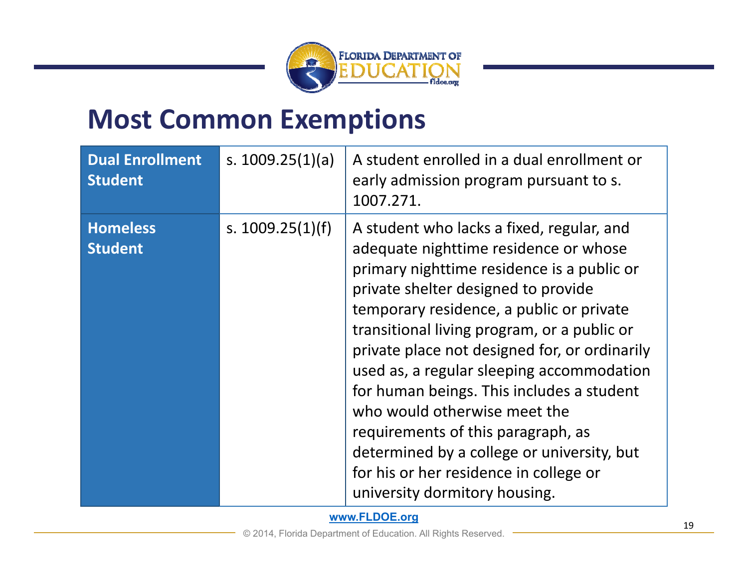

## **Most Common Exemptions**

| <b>Dual Enrollment</b><br><b>Student</b> | s. $1009.25(1)(a)$ | A student enrolled in a dual enrollment or<br>early admission program pursuant to s.<br>1007.271.                                                                                                                                                                                                                                                                                                                                                                                                                                                                                                            |
|------------------------------------------|--------------------|--------------------------------------------------------------------------------------------------------------------------------------------------------------------------------------------------------------------------------------------------------------------------------------------------------------------------------------------------------------------------------------------------------------------------------------------------------------------------------------------------------------------------------------------------------------------------------------------------------------|
| <b>Homeless</b><br><b>Student</b>        | s. $1009.25(1)(f)$ | A student who lacks a fixed, regular, and<br>adequate nighttime residence or whose<br>primary nighttime residence is a public or<br>private shelter designed to provide<br>temporary residence, a public or private<br>transitional living program, or a public or<br>private place not designed for, or ordinarily<br>used as, a regular sleeping accommodation<br>for human beings. This includes a student<br>who would otherwise meet the<br>requirements of this paragraph, as<br>determined by a college or university, but<br>for his or her residence in college or<br>university dormitory housing. |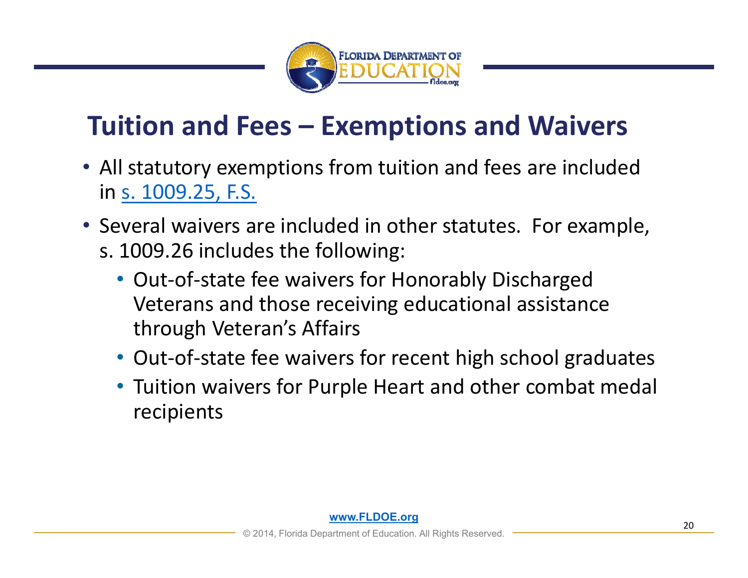

## **Tuition and Fees – Exemptions and Waivers**

- All statutory exemptions from tuition and fees are included in s. 1009.25, F.S.
- Several waivers are included in other statutes. For example, s. 1009.26 includes the following:
	- Out‐of‐state fee waivers for Honorably Discharged Veterans and those receiving educational assistance through Veteran's Affairs
	- Out-of-state fee waivers for recent high school graduates
	- Tuition waivers for Purple Heart and other combat medal recipients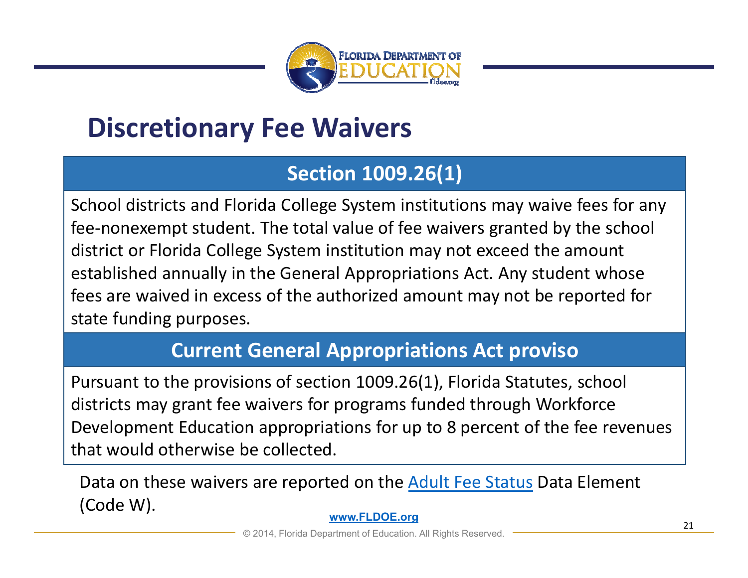

## **Discretionary Fee Waivers**

#### **Section 1009.26(1)**

School districts and Florida College System institutions may waive fees for any fee-nonexempt student. The total value of fee waivers granted by the school district or Florida College System institution may not exceed the amount established annually in the General Appropriations Act. Any student whose fees are waived in excess of the authorized amount may not be reported for state funding purposes.

#### **Current General Appropriations Act proviso**

Pursuant to the provisions of section 1009.26(1), Florida Statutes, school districts may grant fee waivers for programs funded through Workforce Development Education appropriations for up to 8 percent of the fee revenues that would otherwise be collected.

Data on these waivers are reported on the Adult Fee Status Data Element (Code W).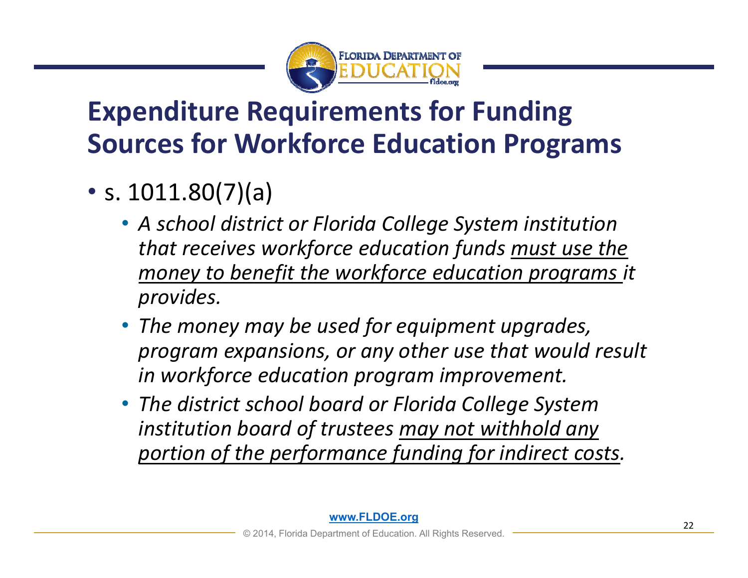

## **Expenditure Requirements for Funding Sources for Workforce Education Programs**

- s. 1011.80(7)(a)
	- *A school district or Florida College System institution that receives workforce education funds must use the money to benefit the workforce education programs it provides.*
	- *The money may be used for equipment upgrades, program expansions, or any other use that would result in workforce education program improvement.*
	- *The district school board or Florida College System institution board of trustees may not withhold any portion of the performance funding for indirect costs.*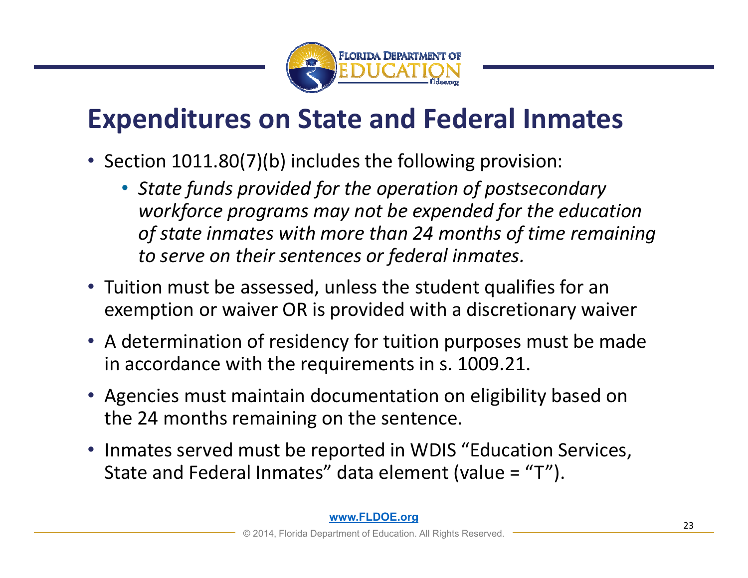

## **Expenditures on State and Federal Inmates**

- Section 1011.80(7)(b) includes the following provision:
	- *State funds provided for the operation of postsecondary workforce programs may not be expended for the education of state inmates with more than 24 months of time remaining to serve on their sentences or federal inmates.*
- Tuition must be assessed, unless the student qualifies for an exemption or waiver OR is provided with a discretionary waiver
- A determination of residency for tuition purposes must be made in accordance with the requirements in s. 1009.21.
- Agencies must maintain documentation on eligibility based on the 24 months remaining on the sentence.
- Inmates served must be reported in WDIS "Education Services, State and Federal Inmates" data element (value = "T").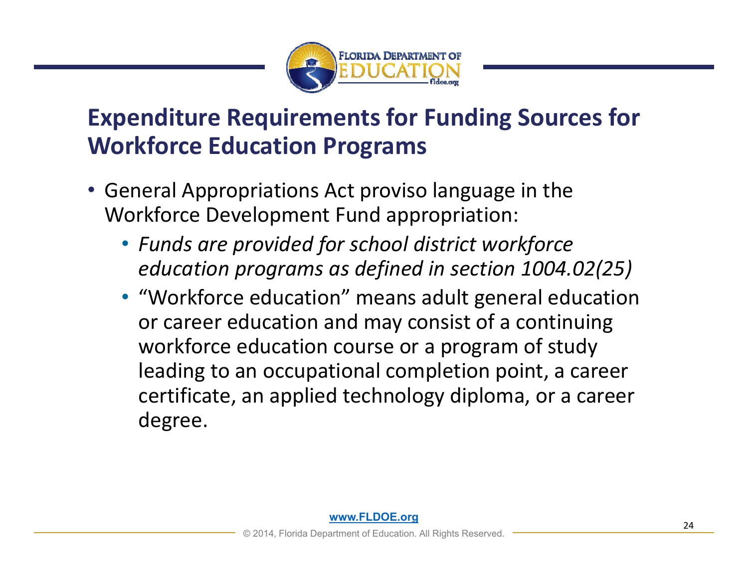

### **Expenditure Requirements for Funding Sources for Workforce Education Programs**

- General Appropriations Act proviso language in the Workforce Development Fund appropriation:
	- *Funds are provided for school district workforce education programs as defined in section 1004.02(25)*
	- "Workforce education" means adult general education or career education and may consist of a continuing workforce education course or a program of study leading to an occupational completion point, a career certificate, an applied technology diploma, or a career degree.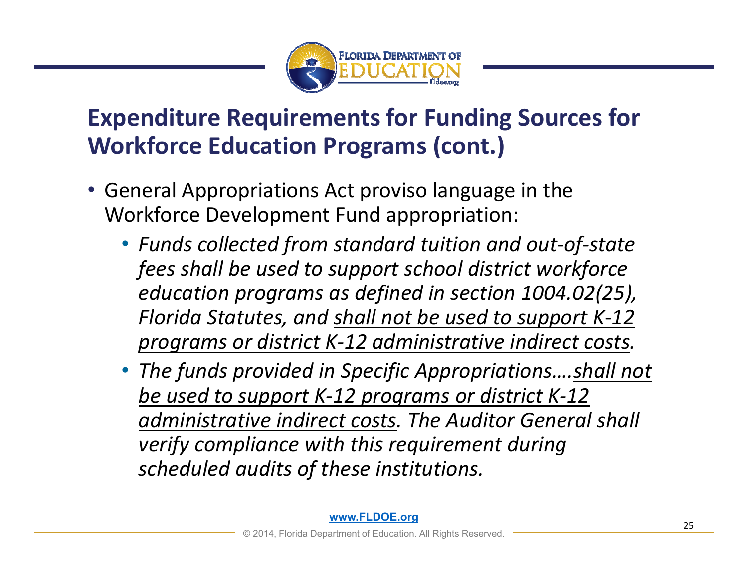

### **Expenditure Requirements for Funding Sources for Workforce Education Programs (cont.)**

- General Appropriations Act proviso language in the Workforce Development Fund appropriation:
	- *Funds collected from standard tuition and out‐of‐state fees shall be used to support school district workforce education programs as defined in section 1004.02(25), Florida Statutes, and shall not be used to support K‐12 programs or district K‐12 administrative indirect costs.*
	- *The funds provided in Specific Appropriations….shall not be used to support K‐12 programs or district K‐12 administrative indirect costs. The Auditor General shall verify compliance with this requirement during scheduled audits of these institutions.*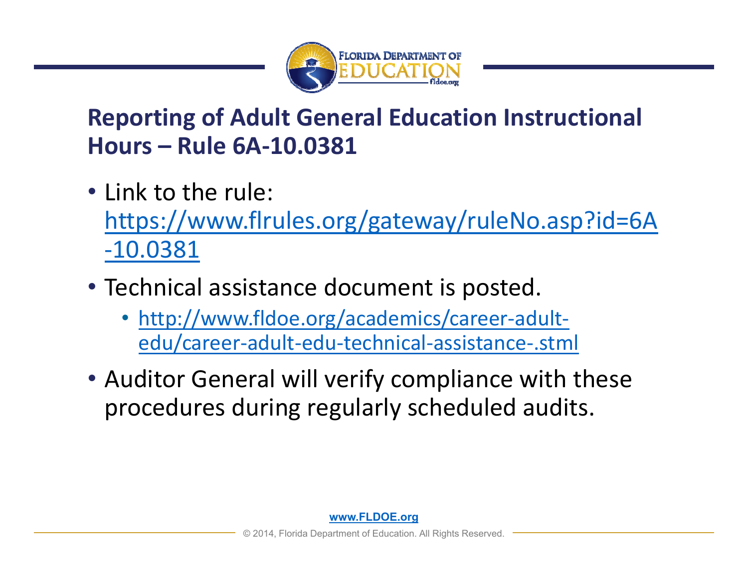

### **Reporting of Adult General Education Instructional Hours – Rule 6A‐10.0381**

- Link to the rule: https://www.flrules.org/gateway/ruleNo.asp?id=6A ‐10.0381
- Technical assistance document is posted.
	- http://www.fldoe.org/academics/career‐adult‐ edu/career‐adult‐edu‐technical‐assistance‐.stml
- Auditor General will verify compliance with these procedures during regularly scheduled audits.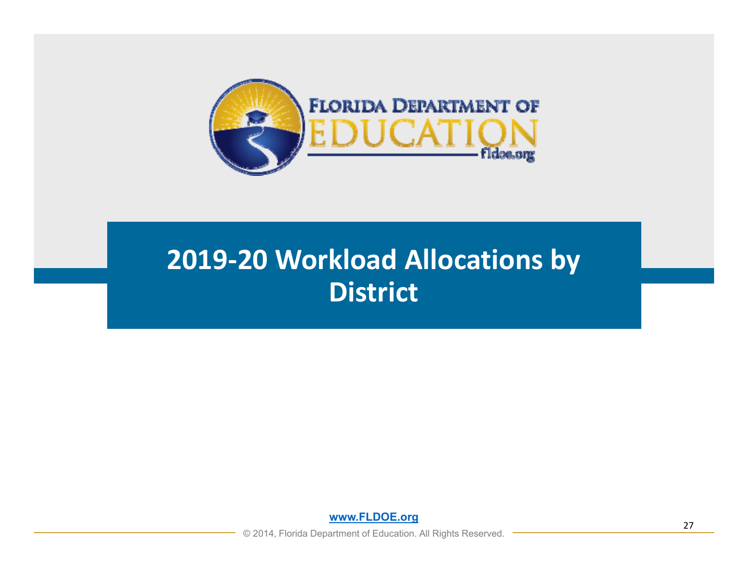

## **2019‐20 Workload Allocations by District**

**www.FLDOE.org**

© 2014, Florida Department of Education. All Rights Reserved.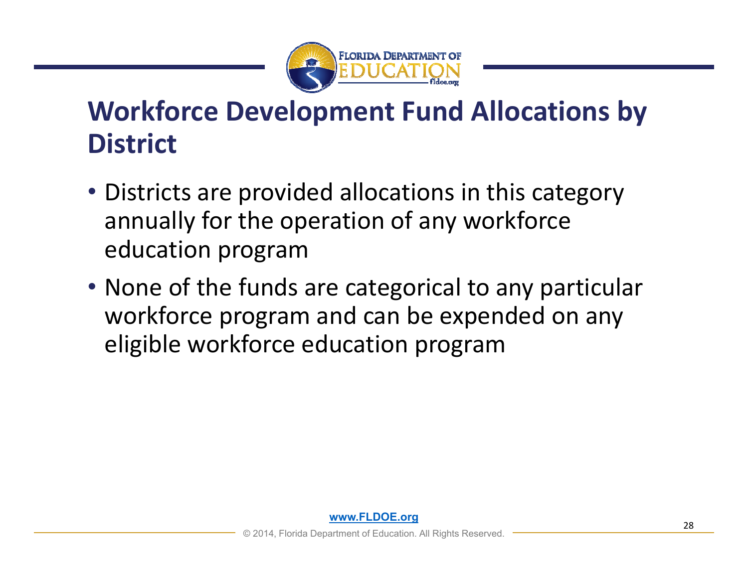

## **Workforce Development Fund Allocations by District**

- Districts are provided allocations in this category annually for the operation of any workforce education program
- None of the funds are categorical to any particular workforce program and can be expended on any eligible workforce education program

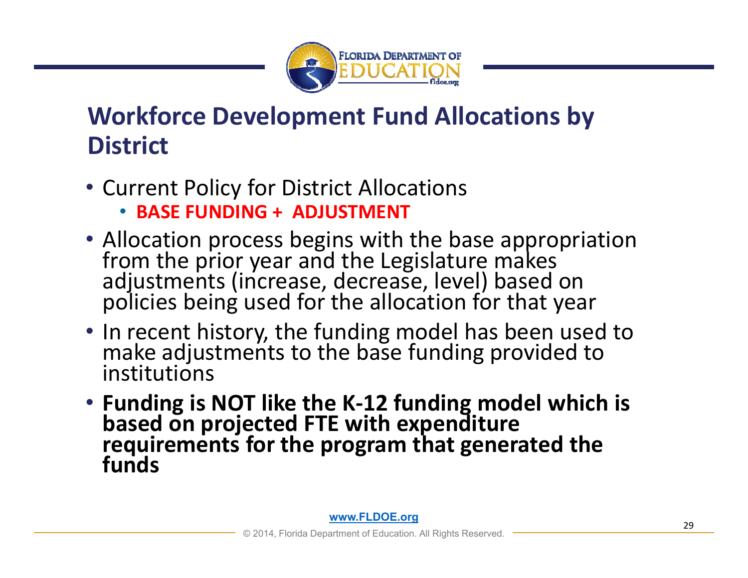

### **Workforce Development Fund Allocations by District**

- Current Policy for District Allocations
	- **BASE FUNDING + ADJUSTMENT**
- Allocation process begins with the base appropriation from the prior year and the Legislature makes<br>adjustments (increase, decrease, level) based on<br>policies being used for the allocation for that year
- In recent history, the funding model has been used to make adjustments to the base funding provided to institutions
- **Funding is NOT like the K‐12 funding model which is based on projected FTE with expenditure requirements for the program that generated the funds**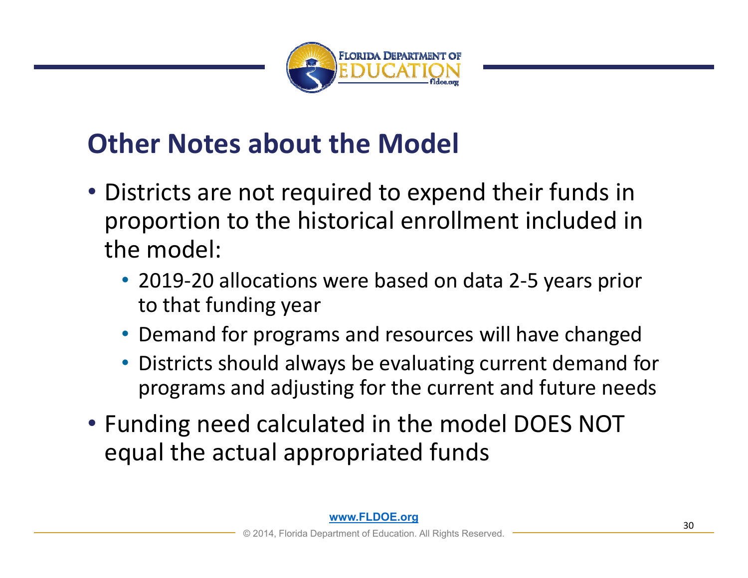

## **Other Notes about the Model**

- Districts are not required to expend their funds in proportion to the historical enrollment included in the model:
	- 2019-20 allocations were based on data 2-5 years prior to that funding year
	- Demand for programs and resources will have changed
	- Districts should always be evaluating current demand for programs and adjusting for the current and future needs
- Funding need calculated in the model DOES NOT equal the actual appropriated funds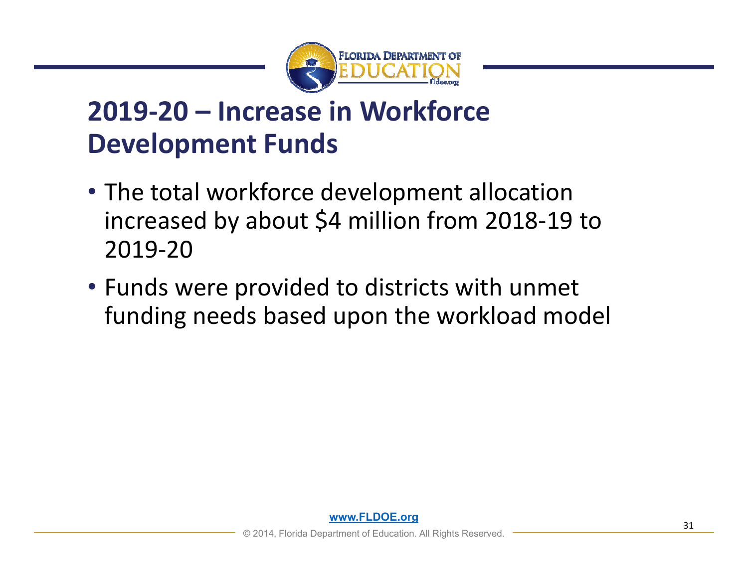

## **2019‐20 – Increase in Workforce Development Funds**

- The total workforce development allocation increased by about \$4 million from 2018‐19 to 2019‐20
- Funds were provided to districts with unmet funding needs based upon the workload model

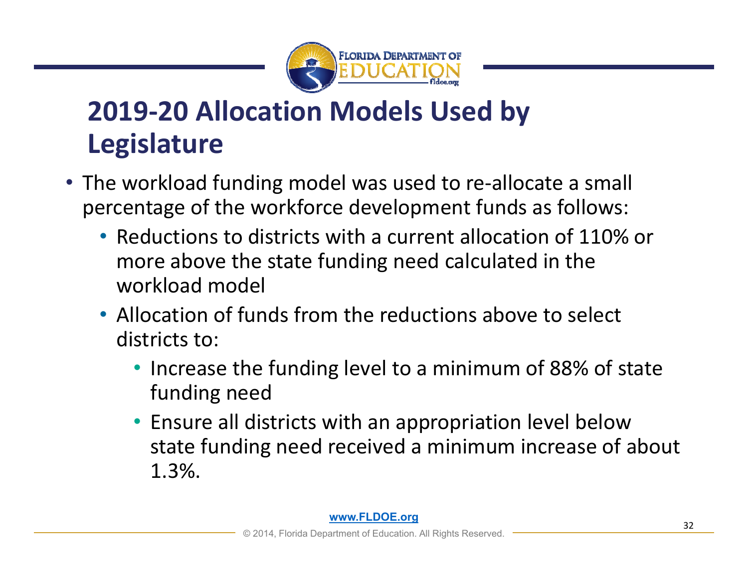

## **2019‐20 Allocation Models Used by Legislature**

- The workload funding model was used to re-allocate a small percentage of the workforce development funds as follows:
	- Reductions to districts with a current allocation of 110% or more above the state funding need calculated in the workload model
	- Allocation of funds from the reductions above to select districts to:
		- Increase the funding level to a minimum of 88% of state funding need
		- Ensure all districts with an appropriation level below state funding need received a minimum increase of about 1.3%.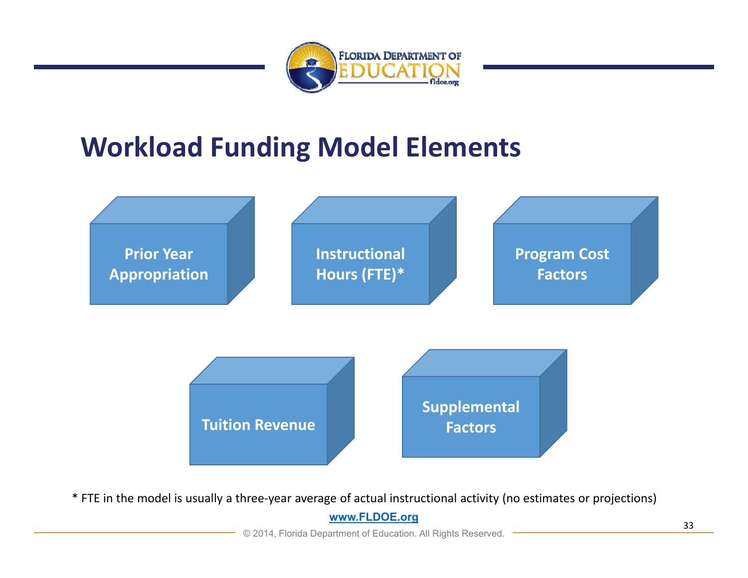

## **Workload Funding Model Elements**



**www.FLDOE.org** \* FTE in the model is usually a three‐year average of actual instructional activity (no estimates or projections)

© 2014, Florida Department of Education. All Rights Reserved.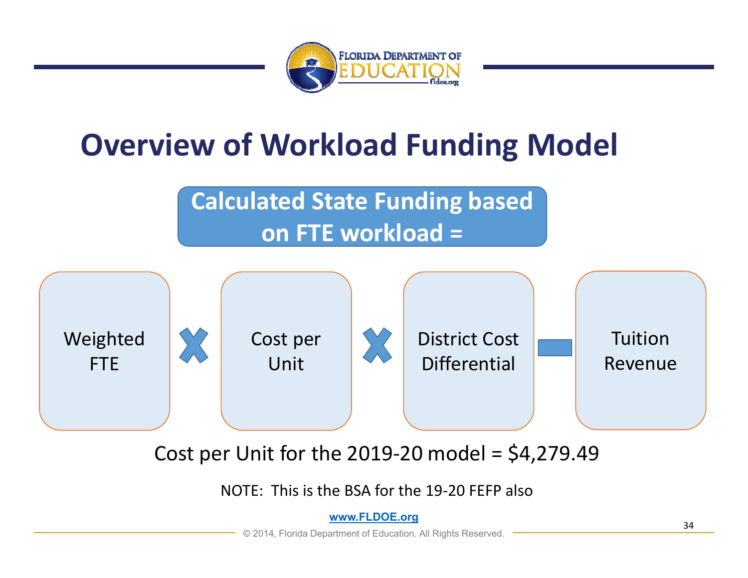

# **Overview of Workload Funding Model**

**Calculated State Funding based on FTE workload =** 



Cost per Unit for the 2019-20 model =  $$4,279.49$ 

NOTE: This is the BSA for the 19‐20 FEFP also

**www.FLDOE.org**

© 2014, Florida Department of Education. All Rights Reserved.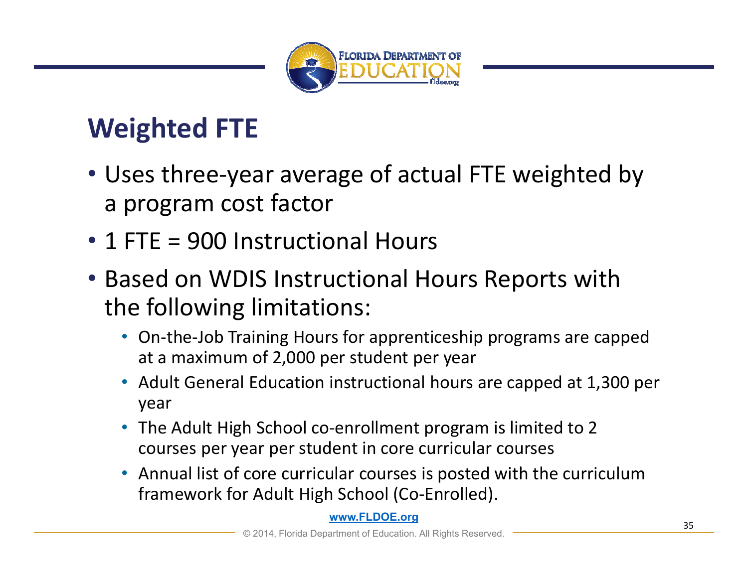

## **Weighted FTE**

- Uses three‐year average of actual FTE weighted by a program cost factor
- 1 FTE = 900 Instructional Hours
- Based on WDIS Instructional Hours Reports with the following limitations:
	- On-the-Job Training Hours for apprenticeship programs are capped at a maximum of 2,000 per student per year
	- Adult General Education instructional hours are capped at 1,300 per year
	- The Adult High School co-enrollment program is limited to 2 courses per year per student in core curricular courses
	- Annual list of core curricular courses is posted with the curriculum framework for Adult High School (Co‐Enrolled).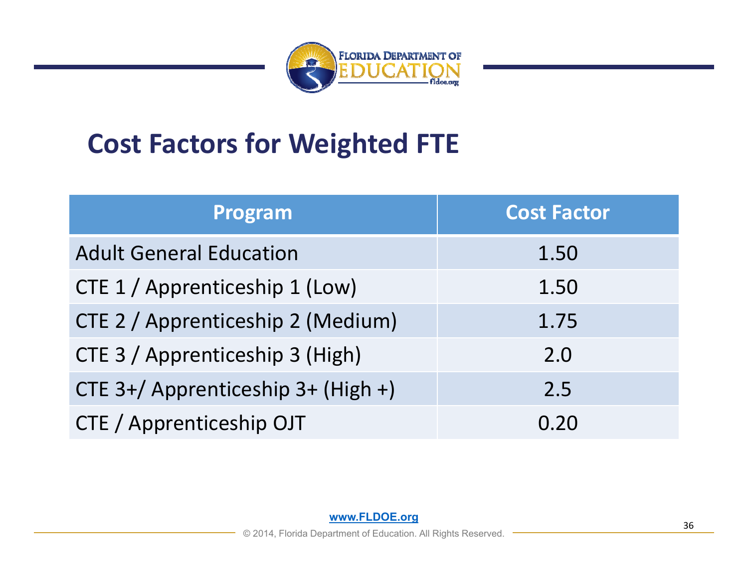

## **Cost Factors for Weighted FTE**

| Program                            | <b>Cost Factor</b> |
|------------------------------------|--------------------|
| <b>Adult General Education</b>     | 1.50               |
| CTE 1 / Apprenticeship 1 (Low)     | 1.50               |
| CTE 2 / Apprenticeship 2 (Medium)  | 1.75               |
| CTE 3 / Apprenticeship 3 (High)    | 2.0                |
| CTE 3+/ Apprenticeship 3+ (High +) | 2.5                |
| CTE / Apprenticeship OJT           | 0.20               |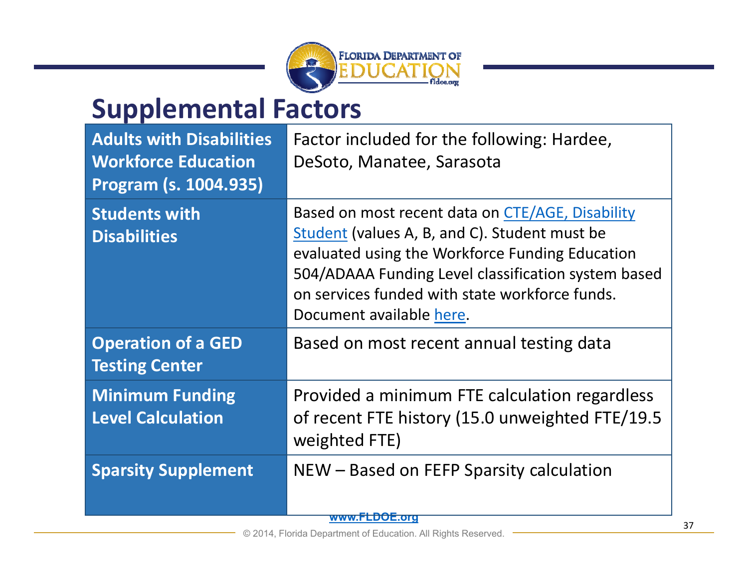

## **Supplemental Factors**

| <b>Adults with Disabilities</b><br><b>Workforce Education</b><br>Program (s. 1004.935) | Factor included for the following: Hardee,<br>DeSoto, Manatee, Sarasota                                                                                                                                                                                                                   |
|----------------------------------------------------------------------------------------|-------------------------------------------------------------------------------------------------------------------------------------------------------------------------------------------------------------------------------------------------------------------------------------------|
| <b>Students with</b><br><b>Disabilities</b>                                            | Based on most recent data on CTE/AGE, Disability<br>Student (values A, B, and C). Student must be<br>evaluated using the Workforce Funding Education<br>504/ADAAA Funding Level classification system based<br>on services funded with state workforce funds.<br>Document available here. |
| <b>Operation of a GED</b><br><b>Testing Center</b>                                     | Based on most recent annual testing data                                                                                                                                                                                                                                                  |
| <b>Minimum Funding</b><br><b>Level Calculation</b>                                     | Provided a minimum FTE calculation regardless<br>of recent FTE history (15.0 unweighted FTE/19.5<br>weighted FTE)                                                                                                                                                                         |
| <b>Sparsity Supplement</b>                                                             | NEW – Based on FEFP Sparsity calculation<br><del>www.FLDOE.org</del>                                                                                                                                                                                                                      |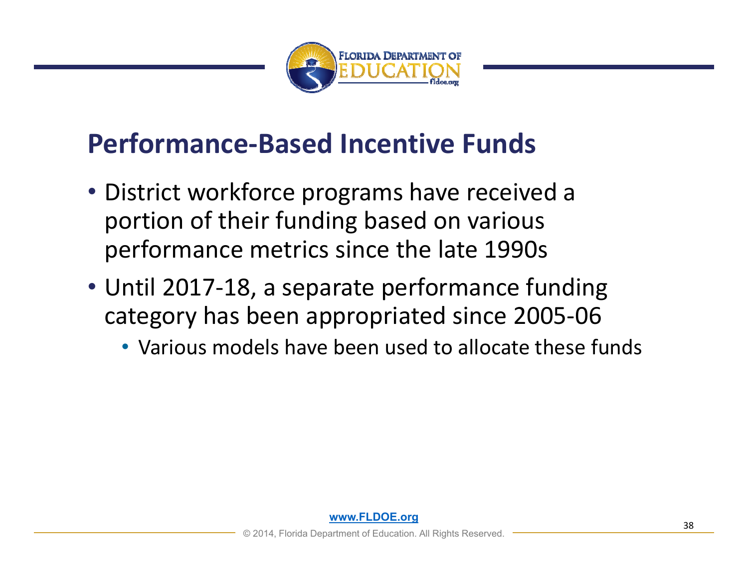

## **Performance‐Based Incentive Funds**

- District workforce programs have received a portion of their funding based on various performance metrics since the late 1990s
- Until 2017‐18, a separate performance funding category has been appropriated since 2005‐06
	- Various models have been used to allocate these funds

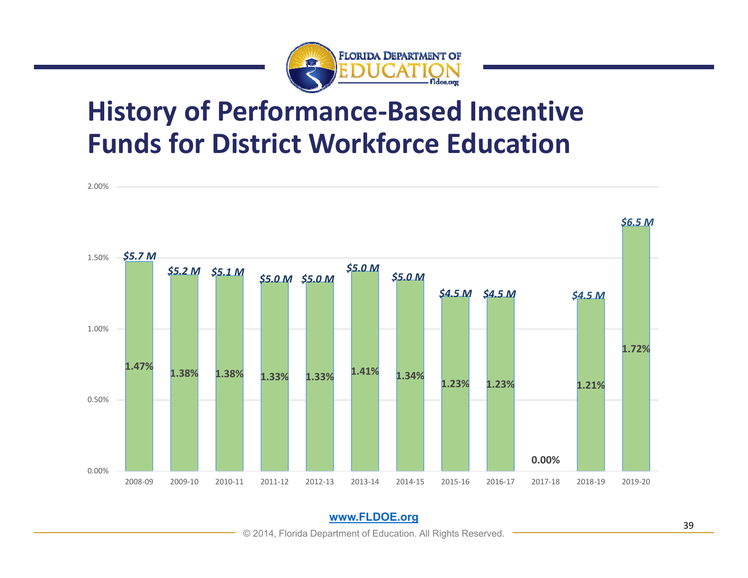

## **History of Performance‐Based Incentive Funds for District Workforce Education**



© 2014, Florida Department of Education. All Rights Reserved.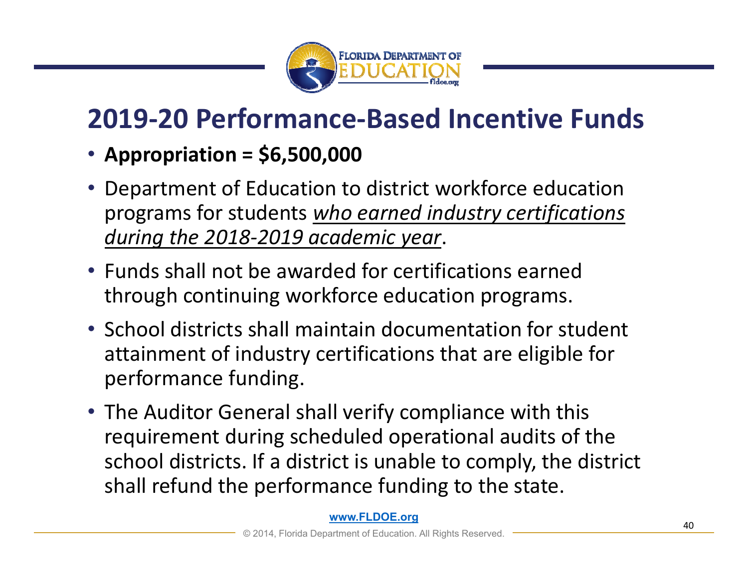

## **2019‐20 Performance‐Based Incentive Funds**

- **Appropriation = \$6,500,000**
- Department of Education to district workforce education programs for students *who earned industry certifications during the 2018‐2019 academic year*.
- Funds shall not be awarded for certifications earned through continuing workforce education programs.
- School districts shall maintain documentation for student attainment of industry certifications that are eligible for performance funding.
- The Auditor General shall verify compliance with this requirement during scheduled operational audits of the school districts. If a district is unable to comply, the district shall refund the performance funding to the state.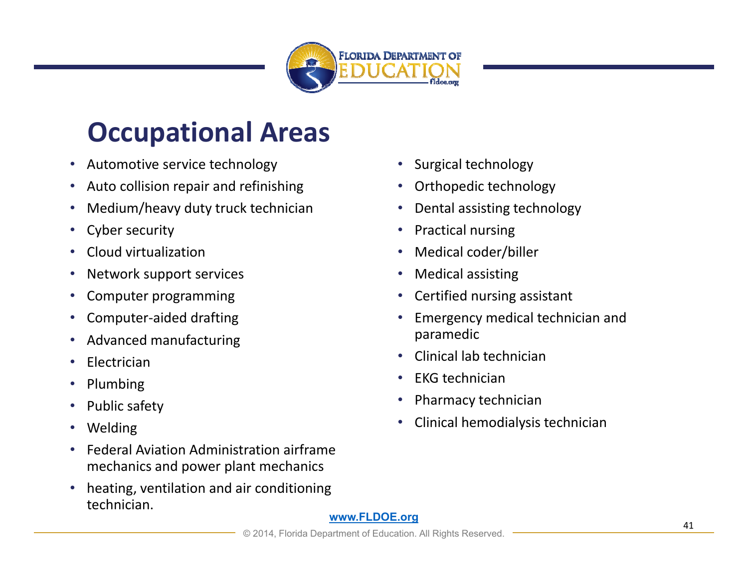

## **Occupational Areas**

- Automotive service technology
- Auto collision repair and refinishing
- Medium/heavy duty truck technician
- Cyber security
- Cloud virtualization
- Network support services
- •Computer programming
- Computer‐aided drafting
- Advanced manufacturing
- Electrician
- Plumbing
- Public safety
- Welding
- • Federal Aviation Administration airframe mechanics and power plant mechanics
- • heating, ventilation and air conditioning technician.
- Surgical technology
- Orthopedic technology
- Dental assisting technology
- Practical nursing
- Medical coder/biller
- Medical assisting
- •Certified nursing assistant
- • Emergency medical technician and paramedic
- •Clinical lab technician
- EKG technician
- Pharmacy technician
- Clinical hemodialysis technician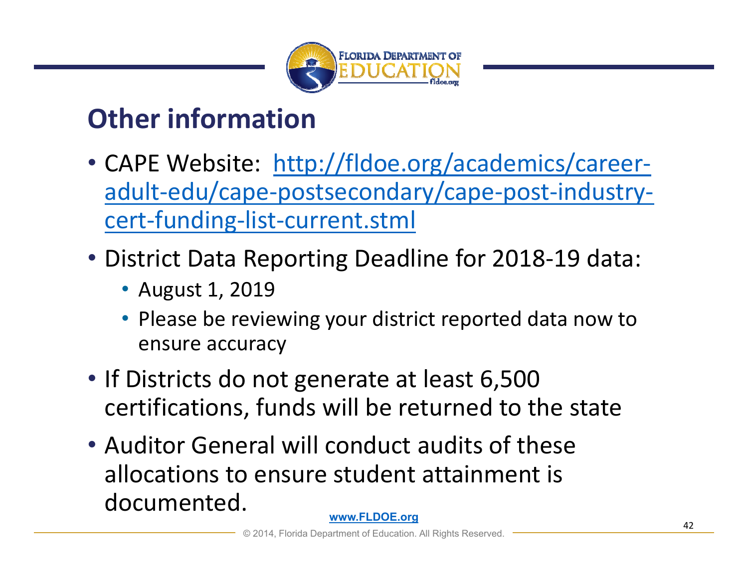

## **Other information**

- CAPE Website: http://fldoe.org/academics/careeradult‐edu/cape‐postsecondary/cape‐post‐industry‐ cert‐funding‐list‐current.stml
- District Data Reporting Deadline for 2018‐19 data:
	- August 1, 2019
	- Please be reviewing your district reported data now to ensure accuracy
- If Districts do not generate at least 6,500 certifications, funds will be returned to the state
- Auditor General will conduct audits of these allocations to ensure student attainment is documented.